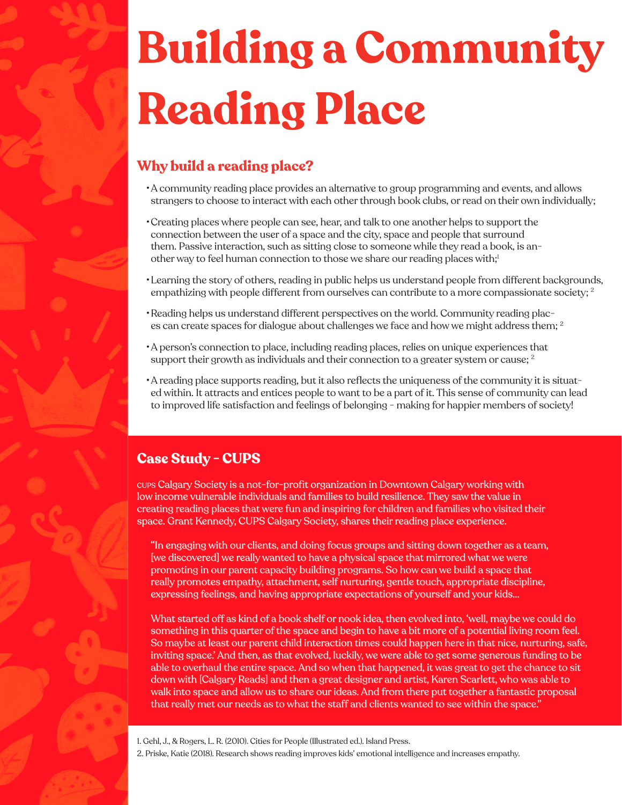## **Building a Community Reading Place**

## **Why build a reading place?**

- •A community reading place provides an alternative to group programming and events, and allows strangers to choose to interact with each other through book clubs, or read on their own individually;
- •Creating places where people can see, hear, and talk to one another helps to support the connection between the user of a space and the city, space and people that surround them. Passive interaction, such as sitting close to someone while they read a book, is another way to feel human connection to those we share our reading places with;<sup>1</sup>
- •Learning the story of others, reading in public helps us understand people from different backgrounds, empathizing with people different from ourselves can contribute to a more compassionate society; <sup>2</sup>
- •Reading helps us understand different perspectives on the world. Community reading places can create spaces for dialogue about challenges we face and how we might address them; <sup>2</sup>
- •A person's connection to place, including reading places, relies on unique experiences that support their growth as individuals and their connection to a greater system or cause;  $2^2$
- •A reading place supports reading, but it also refects the uniqueness of the community it is situated within. It attracts and entices people to want to be a part of it. This sense of community can lead to improved life satisfaction and feelings of belonging - making for happier members of society!

## **Case Study - CUPS**

cups Calgary Society is a not-for-proft organization in Downtown Calgary working with low income vulnerable individuals and families to build resilience. They saw the value in creating reading places that were fun and inspiring for children and families who visited their space. Grant Kennedy, CUPS Calgary Society, shares their reading place experience.

"In engaging with our clients, and doing focus groups and sitting down together as a team, [we discovered] we really wanted to have a physical space that mirrored what we were promoting in our parent capacity building programs. So how can we build a space that really promotes empathy, attachment, self nurturing, gentle touch, appropriate discipline, expressing feelings, and having appropriate expectations of yourself and your kids...

What started off as kind of a book shelf or nook idea, then evolved into, 'well, maybe we could do something in this quarter of the space and begin to have a bit more of a potential living room feel. So maybe at least our parent child interaction times could happen here in that nice, nurturing, safe, inviting space.' And then, as that evolved, luckily, we were able to get some generous funding to be able to overhaul the entire space. And so when that happened, it was great to get the chance to sit down with [Calgary Reads] and then a great designer and artist, Karen Scarlett, who was able to walk into space and allow us to share our ideas. And from there put together a fantastic proposal that really met our needs as to what the staff and clients wanted to see within the space."

1. Gehl, J., & Rogers, L. R. (2010). Cities for People (Illustrated ed.). Island Press. 2. Priske, Katie (2018). Research shows reading improves kids' emotional intelligence and increases empathy.